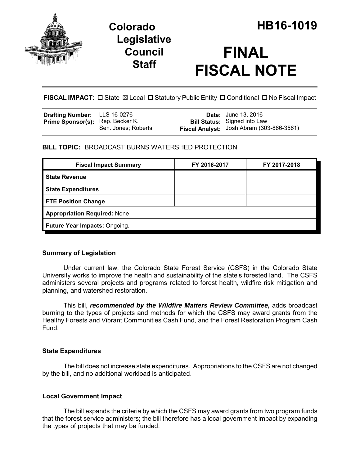

# **Legislative Council Staff**

# **FINAL FISCAL NOTE**

**FISCAL IMPACT:**  $\Box$  State  $\boxtimes$  Local  $\Box$  Statutory Public Entity  $\Box$  Conditional  $\Box$  No Fiscal Impact

| <b>Drafting Number:</b> LLS 16-0276     |                     | <b>Date:</b> June 13, 2016                |
|-----------------------------------------|---------------------|-------------------------------------------|
| <b>Prime Sponsor(s):</b> Rep. Becker K. |                     | <b>Bill Status:</b> Signed into Law       |
|                                         | Sen. Jones; Roberts | Fiscal Analyst: Josh Abram (303-866-3561) |

### **BILL TOPIC:** BROADCAST BURNS WATERSHED PROTECTION

| <b>Fiscal Impact Summary</b>        | FY 2016-2017 | FY 2017-2018 |  |  |
|-------------------------------------|--------------|--------------|--|--|
| <b>State Revenue</b>                |              |              |  |  |
| <b>State Expenditures</b>           |              |              |  |  |
| <b>FTE Position Change</b>          |              |              |  |  |
| <b>Appropriation Required: None</b> |              |              |  |  |
| Future Year Impacts: Ongoing.       |              |              |  |  |

#### **Summary of Legislation**

Under current law, the Colorado State Forest Service (CSFS) in the Colorado State University works to improve the health and sustainability of the state's forested land. The CSFS administers several projects and programs related to forest health, wildfire risk mitigation and planning, and watershed restoration.

This bill, *recommended by the Wildfire Matters Review Committee,* adds broadcast burning to the types of projects and methods for which the CSFS may award grants from the Healthy Forests and Vibrant Communities Cash Fund, and the Forest Restoration Program Cash Fund.

#### **State Expenditures**

The bill does not increase state expenditures. Appropriations to the CSFS are not changed by the bill, and no additional workload is anticipated.

## **Local Government Impact**

The bill expands the criteria by which the CSFS may award grants from two program funds that the forest service administers; the bill therefore has a local government impact by expanding the types of projects that may be funded.